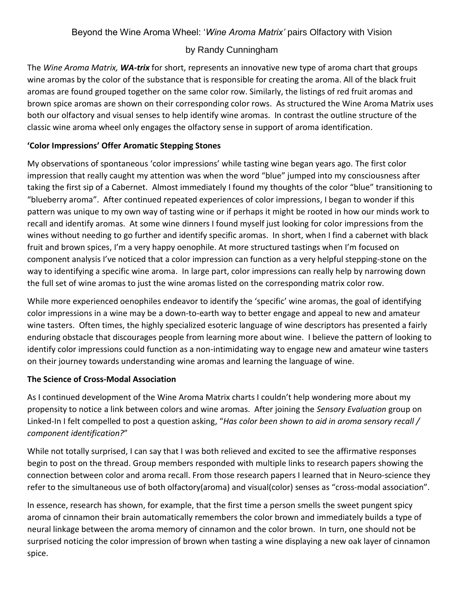## by Randy Cunningham

The *Wine Aroma Matrix, WA-trix* for short, represents an innovative new type of aroma chart that groups wine aromas by the color of the substance that is responsible for creating the aroma. All of the black fruit aromas are found grouped together on the same color row. Similarly, the listings of red fruit aromas and brown spice aromas are shown on their corresponding color rows. As structured the Wine Aroma Matrix uses both our olfactory and visual senses to help identify wine aromas. In contrast the outline structure of the classic wine aroma wheel only engages the olfactory sense in support of aroma identification.

## **'Color Impressions' Offer Aromatic Stepping Stones**

My observations of spontaneous 'color impressions' while tasting wine began years ago. The first color impression that really caught my attention was when the word "blue" jumped into my consciousness after taking the first sip of a Cabernet. Almost immediately I found my thoughts of the color "blue" transitioning to "blueberry aroma". After continued repeated experiences of color impressions, I began to wonder if this pattern was unique to my own way of tasting wine or if perhaps it might be rooted in how our minds work to recall and identify aromas. At some wine dinners I found myself just looking for color impressions from the wines without needing to go further and identify specific aromas. In short, when I find a cabernet with black fruit and brown spices, I'm a very happy oenophile. At more structured tastings when I'm focused on component analysis I've noticed that a color impression can function as a very helpful stepping-stone on the way to identifying a specific wine aroma. In large part, color impressions can really help by narrowing down the full set of wine aromas to just the wine aromas listed on the corresponding matrix color row.

While more experienced oenophiles endeavor to identify the 'specific' wine aromas, the goal of identifying color impressions in a wine may be a down-to-earth way to better engage and appeal to new and amateur wine tasters. Often times, the highly specialized esoteric language of wine descriptors has presented a fairly enduring obstacle that discourages people from learning more about wine. I believe the pattern of looking to identify color impressions could function as a non-intimidating way to engage new and amateur wine tasters on their journey towards understanding wine aromas and learning the language of wine.

## **The Science of Cross-Modal Association**

As I continued development of the Wine Aroma Matrix charts I couldn't help wondering more about my propensity to notice a link between colors and wine aromas. After joining the *Sensory Evaluation* group on Linked-In I felt compelled to post a question asking, "*Has color been shown to aid in aroma sensory recall / component identification?*"

While not totally surprised, I can say that I was both relieved and excited to see the affirmative responses begin to post on the thread. Group members responded with multiple links to research papers showing the connection between color and aroma recall. From those research papers I learned that in Neuro-science they refer to the simultaneous use of both olfactory(aroma) and visual(color) senses as "cross-modal association".

In essence, research has shown, for example, that the first time a person smells the sweet pungent spicy aroma of cinnamon their brain automatically remembers the color brown and immediately builds a type of neural linkage between the aroma memory of cinnamon and the color brown. In turn, one should not be surprised noticing the color impression of brown when tasting a wine displaying a new oak layer of cinnamon spice.